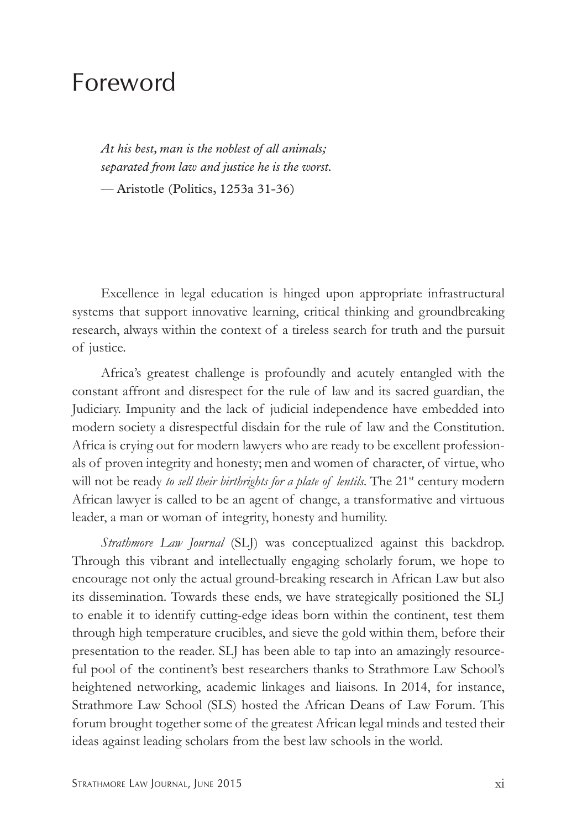## Foreword

*At his best, man is the noblest of all animals; separated from law and justice he is the worst. —* Aristotle (Politics, 1253a 31-36)

Excellence in legal education is hinged upon appropriate infrastructural systems that support innovative learning, critical thinking and groundbreaking research, always within the context of a tireless search for truth and the pursuit of justice.

Africa's greatest challenge is profoundly and acutely entangled with the constant affront and disrespect for the rule of law and its sacred guardian, the Judiciary. Impunity and the lack of judicial independence have embedded into modern society a disrespectful disdain for the rule of law and the Constitution. Africa is crying out for modern lawyers who are ready to be excellent professionals of proven integrity and honesty; men and women of character, of virtue, who will not be ready *to sell their birthrights for a plate of lentils*. The 21<sup>st</sup> century modern African lawyer is called to be an agent of change, a transformative and virtuous leader, a man or woman of integrity, honesty and humility.

*Strathmore Law Journal* (SLJ) was conceptualized against this backdrop. Through this vibrant and intellectually engaging scholarly forum, we hope to encourage not only the actual ground-breaking research in African Law but also its dissemination. Towards these ends, we have strategically positioned the SLJ to enable it to identify cutting-edge ideas born within the continent, test them through high temperature crucibles, and sieve the gold within them, before their presentation to the reader. SLJ has been able to tap into an amazingly resourceful pool of the continent's best researchers thanks to Strathmore Law School's heightened networking, academic linkages and liaisons. In 2014, for instance, Strathmore Law School (SLS) hosted the African Deans of Law Forum. This forum brought together some of the greatest African legal minds and tested their ideas against leading scholars from the best law schools in the world.